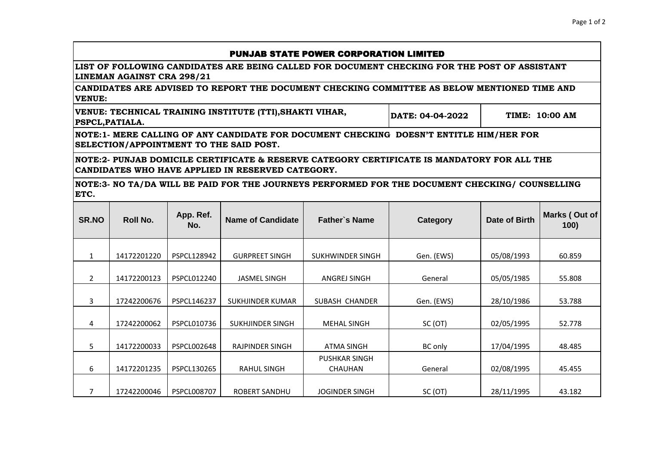## PUNJAB STATE POWER CORPORATION LIMITED

**LIST OF FOLLOWING CANDIDATES ARE BEING CALLED FOR DOCUMENT CHECKING FOR THE POST OF ASSISTANT LINEMAN AGAINST CRA 298/21**

**CANDIDATES ARE ADVISED TO REPORT THE DOCUMENT CHECKING COMMITTEE AS BELOW MENTIONED TIME AND VENUE:**

**DATE: 04-04-2022 VENUE: TECHNICAL TRAINING INSTITUTE (TTI),SHAKTI VIHAR, PSPCL,PATIALA. TIME: 10:00 AM**

**NOTE:1- MERE CALLING OF ANY CANDIDATE FOR DOCUMENT CHECKING DOESN'T ENTITLE HIM/HER FOR SELECTION/APPOINTMENT TO THE SAID POST.**

**NOTE:2- PUNJAB DOMICILE CERTIFICATE & RESERVE CATEGORY CERTIFICATE IS MANDATORY FOR ALL THE CANDIDATES WHO HAVE APPLIED IN RESERVED CATEGORY.**

**NOTE:3- NO TA/DA WILL BE PAID FOR THE JOURNEYS PERFORMED FOR THE DOCUMENT CHECKING/ COUNSELLING ETC.**

| SR.NO          | <b>Roll No.</b> | App. Ref.<br>No.   | <b>Name of Candidate</b> | <b>Father's Name</b>  | Category   | <b>Date of Birth</b> | Marks (Out of<br>100) |
|----------------|-----------------|--------------------|--------------------------|-----------------------|------------|----------------------|-----------------------|
|                |                 |                    |                          |                       |            |                      |                       |
| 1              | 14172201220     | PSPCL128942        | <b>GURPREET SINGH</b>    | SUKHWINDER SINGH      | Gen. (EWS) | 05/08/1993           | 60.859                |
|                | 14172200123     | PSPCL012240        |                          |                       | General    |                      | 55.808                |
| $\overline{2}$ |                 |                    | <b>JASMEL SINGH</b>      | ANGREJ SINGH          |            | 05/05/1985           |                       |
|                |                 |                    |                          |                       |            |                      |                       |
| 3              | 17242200676     | <b>PSPCL146237</b> | SUKHJINDER KUMAR         | SUBASH CHANDER        | Gen. (EWS) | 28/10/1986           | 53.788                |
| 4              | 17242200062     | PSPCL010736        | SUKHJINDER SINGH         | <b>MEHAL SINGH</b>    | SC (OT)    | 02/05/1995           | 52.778                |
|                |                 |                    |                          |                       |            |                      |                       |
| 5              | 14172200033     | PSPCL002648        | RAJPINDER SINGH          | <b>ATMA SINGH</b>     | BC only    | 17/04/1995           | 48.485                |
|                |                 |                    |                          | <b>PUSHKAR SINGH</b>  |            |                      |                       |
| 6              | 14172201235     | PSPCL130265        | <b>RAHUL SINGH</b>       | <b>CHAUHAN</b>        | General    | 02/08/1995           | 45.455                |
|                |                 |                    |                          |                       |            |                      |                       |
| 7              | 17242200046     | <b>PSPCL008707</b> | ROBERT SANDHU            | <b>JOGINDER SINGH</b> | SC (OT)    | 28/11/1995           | 43.182                |